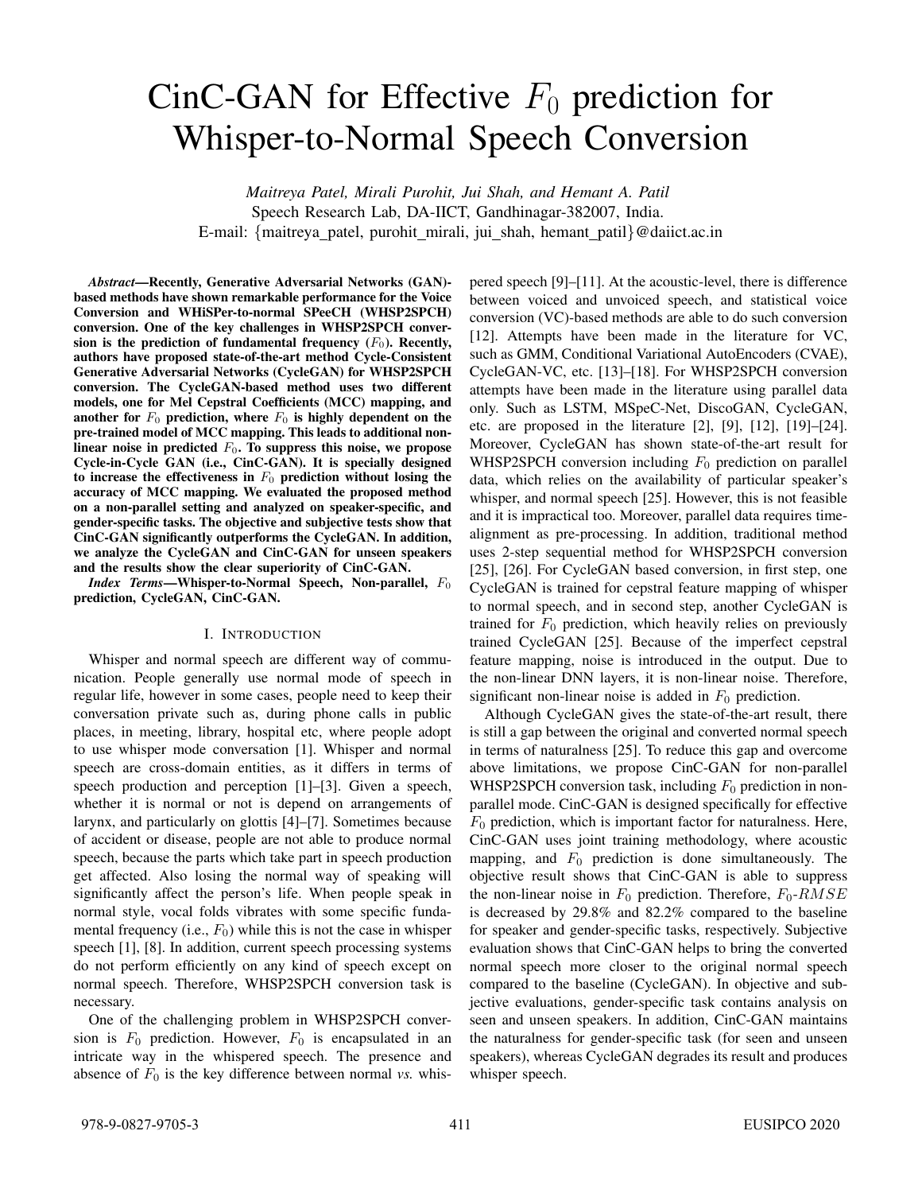# CinC-GAN for Effective  $F_0$  prediction for Whisper-to-Normal Speech Conversion

*Maitreya Patel, Mirali Purohit, Jui Shah, and Hemant A. Patil* Speech Research Lab, DA-IICT, Gandhinagar-382007, India. E-mail: {maitreya\_patel, purohit\_mirali, jui\_shah, hemant\_patil}@daiict.ac.in

*Abstract*—Recently, Generative Adversarial Networks (GAN) based methods have shown remarkable performance for the Voice Conversion and WHiSPer-to-normal SPeeCH (WHSP2SPCH) conversion. One of the key challenges in WHSP2SPCH conversion is the prediction of fundamental frequency  $(F_0)$ . Recently, authors have proposed state-of-the-art method Cycle-Consistent Generative Adversarial Networks (CycleGAN) for WHSP2SPCH conversion. The CycleGAN-based method uses two different models, one for Mel Cepstral Coefficients (MCC) mapping, and another for  $F_0$  prediction, where  $F_0$  is highly dependent on the pre-trained model of MCC mapping. This leads to additional nonlinear noise in predicted  $F_0$ . To suppress this noise, we propose Cycle-in-Cycle GAN (i.e., CinC-GAN). It is specially designed to increase the effectiveness in  $F_0$  prediction without losing the accuracy of MCC mapping. We evaluated the proposed method on a non-parallel setting and analyzed on speaker-specific, and gender-specific tasks. The objective and subjective tests show that CinC-GAN significantly outperforms the CycleGAN. In addition, we analyze the CycleGAN and CinC-GAN for unseen speakers and the results show the clear superiority of CinC-GAN.

*Index Terms*—Whisper-to-Normal Speech, Non-parallel,  $F_0$ prediction, CycleGAN, CinC-GAN.

#### I. INTRODUCTION

Whisper and normal speech are different way of communication. People generally use normal mode of speech in regular life, however in some cases, people need to keep their conversation private such as, during phone calls in public places, in meeting, library, hospital etc, where people adopt to use whisper mode conversation [1]. Whisper and normal speech are cross-domain entities, as it differs in terms of speech production and perception [1]–[3]. Given a speech, whether it is normal or not is depend on arrangements of larynx, and particularly on glottis [4]–[7]. Sometimes because of accident or disease, people are not able to produce normal speech, because the parts which take part in speech production get affected. Also losing the normal way of speaking will significantly affect the person's life. When people speak in normal style, vocal folds vibrates with some specific fundamental frequency (i.e.,  $F_0$ ) while this is not the case in whisper speech [1], [8]. In addition, current speech processing systems do not perform efficiently on any kind of speech except on normal speech. Therefore, WHSP2SPCH conversion task is necessary.

One of the challenging problem in WHSP2SPCH conversion is  $F_0$  prediction. However,  $F_0$  is encapsulated in an intricate way in the whispered speech. The presence and absence of  $F_0$  is the key difference between normal *vs.* whispered speech [9]–[11]. At the acoustic-level, there is difference between voiced and unvoiced speech, and statistical voice conversion (VC)-based methods are able to do such conversion [12]. Attempts have been made in the literature for VC, such as GMM, Conditional Variational AutoEncoders (CVAE), CycleGAN-VC, etc. [13]–[18]. For WHSP2SPCH conversion attempts have been made in the literature using parallel data only. Such as LSTM, MSpeC-Net, DiscoGAN, CycleGAN, etc. are proposed in the literature [2], [9], [12], [19]–[24]. Moreover, CycleGAN has shown state-of-the-art result for WHSP2SPCH conversion including  $F_0$  prediction on parallel data, which relies on the availability of particular speaker's whisper, and normal speech [25]. However, this is not feasible and it is impractical too. Moreover, parallel data requires timealignment as pre-processing. In addition, traditional method uses 2-step sequential method for WHSP2SPCH conversion [25], [26]. For CycleGAN based conversion, in first step, one CycleGAN is trained for cepstral feature mapping of whisper to normal speech, and in second step, another CycleGAN is trained for  $F_0$  prediction, which heavily relies on previously trained CycleGAN [25]. Because of the imperfect cepstral feature mapping, noise is introduced in the output. Due to the non-linear DNN layers, it is non-linear noise. Therefore, significant non-linear noise is added in  $F_0$  prediction.

Although CycleGAN gives the state-of-the-art result, there is still a gap between the original and converted normal speech in terms of naturalness [25]. To reduce this gap and overcome above limitations, we propose CinC-GAN for non-parallel WHSP2SPCH conversion task, including  $F_0$  prediction in nonparallel mode. CinC-GAN is designed specifically for effective  $F_0$  prediction, which is important factor for naturalness. Here, CinC-GAN uses joint training methodology, where acoustic mapping, and  $F_0$  prediction is done simultaneously. The objective result shows that CinC-GAN is able to suppress the non-linear noise in  $F_0$  prediction. Therefore,  $F_0$ -RMSE is decreased by 29.8% and 82.2% compared to the baseline for speaker and gender-specific tasks, respectively. Subjective evaluation shows that CinC-GAN helps to bring the converted normal speech more closer to the original normal speech compared to the baseline (CycleGAN). In objective and subjective evaluations, gender-specific task contains analysis on seen and unseen speakers. In addition, CinC-GAN maintains the naturalness for gender-specific task (for seen and unseen speakers), whereas CycleGAN degrades its result and produces whisper speech.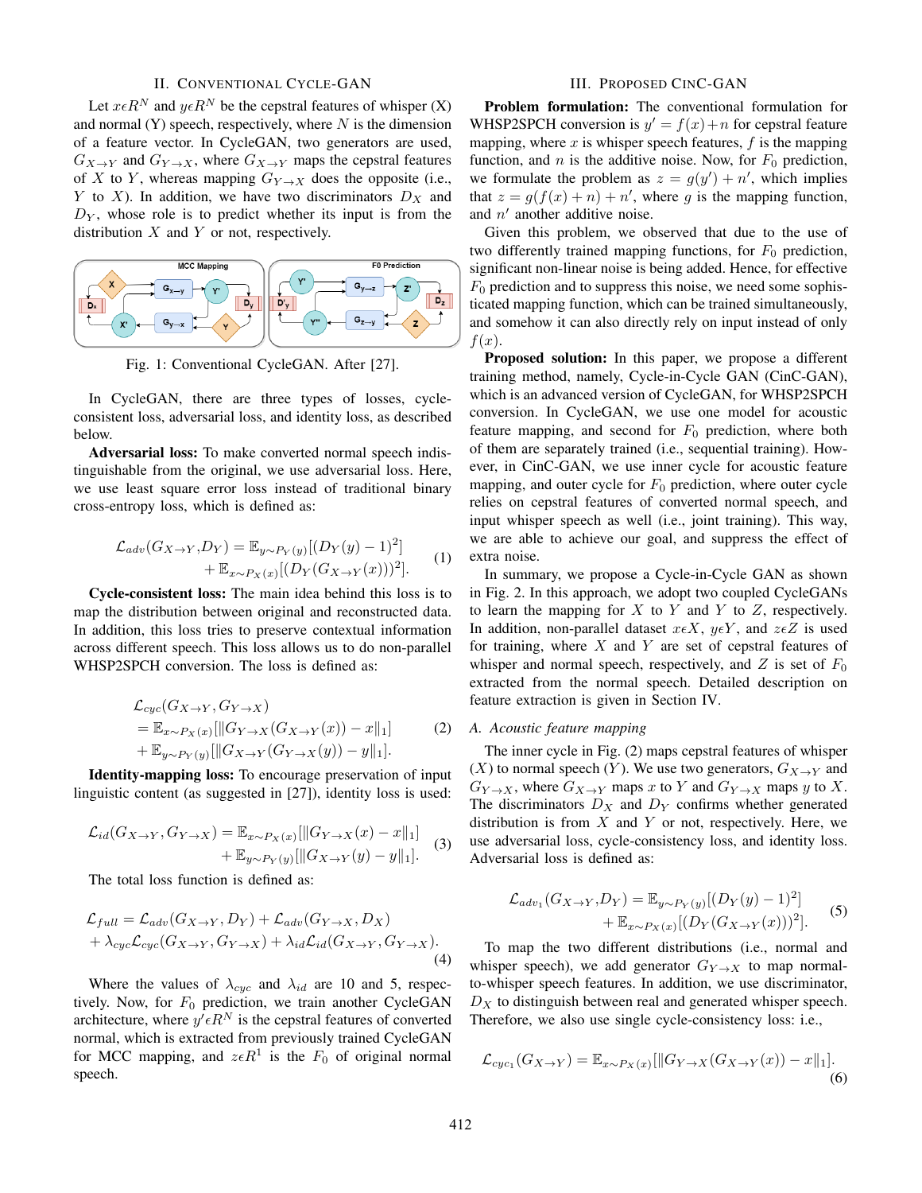### II. CONVENTIONAL CYCLE-GAN

Let  $x \in R^N$  and  $y \in R^N$  be the cepstral features of whisper  $(X)$ and normal  $(Y)$  speech, respectively, where N is the dimension of a feature vector. In CycleGAN, two generators are used,  $G_{X\to Y}$  and  $G_{Y\to X}$ , where  $G_{X\to Y}$  maps the cepstral features of X to Y, whereas mapping  $G_{Y\to X}$  does the opposite (i.e., Y to X). In addition, we have two discriminators  $D_X$  and  $D<sub>Y</sub>$ , whose role is to predict whether its input is from the distribution  $X$  and  $Y$  or not, respectively.



Fig. 1: Conventional CycleGAN. After [27].

In CycleGAN, there are three types of losses, cycleconsistent loss, adversarial loss, and identity loss, as described below.

Adversarial loss: To make converted normal speech indistinguishable from the original, we use adversarial loss. Here, we use least square error loss instead of traditional binary cross-entropy loss, which is defined as:

$$
\mathcal{L}_{adv}(G_{X \to Y}, D_Y) = \mathbb{E}_{y \sim P_Y(y)}[(D_Y(y) - 1)^2] + \mathbb{E}_{x \sim P_X(x)}[(D_Y(G_{X \to Y}(x)))^2].
$$
 (1)

Cycle-consistent loss: The main idea behind this loss is to map the distribution between original and reconstructed data. In addition, this loss tries to preserve contextual information across different speech. This loss allows us to do non-parallel WHSP2SPCH conversion. The loss is defined as:

$$
\mathcal{L}_{cyc}(G_{X \to Y}, G_{Y \to X})
$$
\n
$$
= \mathbb{E}_{x \sim P_X(x)}[\|G_{Y \to X}(G_{X \to Y}(x)) - x\|_1]
$$
\n
$$
+ \mathbb{E}_{y \sim P_Y(y)}[\|G_{X \to Y}(G_{Y \to X}(y)) - y\|_1].
$$
\n(2)

Identity-mapping loss: To encourage preservation of input linguistic content (as suggested in [27]), identity loss is used:

$$
\mathcal{L}_{id}(G_{X \to Y}, G_{Y \to X}) = \mathbb{E}_{x \sim P_X(x)}[\|G_{Y \to X}(x) - x\|_1] + \mathbb{E}_{y \sim P_Y(y)}[\|G_{X \to Y}(y) - y\|_1].
$$
 (3)

The total loss function is defined as:

$$
\mathcal{L}_{full} = \mathcal{L}_{adv}(G_{X \to Y}, D_Y) + \mathcal{L}_{adv}(G_{Y \to X}, D_X) + \lambda_{cyc} \mathcal{L}_{cyc}(G_{X \to Y}, G_{Y \to X}) + \lambda_{id} \mathcal{L}_{id}(G_{X \to Y}, G_{Y \to X}).
$$
\n(4)

Where the values of  $\lambda_{cyc}$  and  $\lambda_{id}$  are 10 and 5, respectively. Now, for  $F_0$  prediction, we train another CycleGAN architecture, where  $y' \epsilon R^N$  is the cepstral features of converted normal, which is extracted from previously trained CycleGAN for MCC mapping, and  $z \in R^1$  is the  $F_0$  of original normal speech.

## III. PROPOSED CINC-GAN

Problem formulation: The conventional formulation for WHSP2SPCH conversion is  $y' = f(x) + n$  for cepstral feature mapping, where x is whisper speech features,  $f$  is the mapping function, and n is the additive noise. Now, for  $F_0$  prediction, we formulate the problem as  $z = g(y') + n'$ , which implies that  $z = g(f(x) + n) + n'$ , where g is the mapping function, and  $n'$  another additive noise.

Given this problem, we observed that due to the use of two differently trained mapping functions, for  $F_0$  prediction, significant non-linear noise is being added. Hence, for effective  $F_0$  prediction and to suppress this noise, we need some sophisticated mapping function, which can be trained simultaneously, and somehow it can also directly rely on input instead of only  $f(x)$ .

Proposed solution: In this paper, we propose a different training method, namely, Cycle-in-Cycle GAN (CinC-GAN), which is an advanced version of CycleGAN, for WHSP2SPCH conversion. In CycleGAN, we use one model for acoustic feature mapping, and second for  $F_0$  prediction, where both of them are separately trained (i.e., sequential training). However, in CinC-GAN, we use inner cycle for acoustic feature mapping, and outer cycle for  $F_0$  prediction, where outer cycle relies on cepstral features of converted normal speech, and input whisper speech as well (i.e., joint training). This way, we are able to achieve our goal, and suppress the effect of extra noise.

In summary, we propose a Cycle-in-Cycle GAN as shown in Fig. 2. In this approach, we adopt two coupled CycleGANs to learn the mapping for  $X$  to  $Y$  and  $Y$  to  $Z$ , respectively. In addition, non-parallel dataset  $x \in X$ ,  $y \in Y$ , and  $z \in Z$  is used for training, where  $X$  and  $Y$  are set of cepstral features of whisper and normal speech, respectively, and  $Z$  is set of  $F_0$ extracted from the normal speech. Detailed description on feature extraction is given in Section IV.

## *A. Acoustic feature mapping*

The inner cycle in Fig. (2) maps cepstral features of whisper (X) to normal speech (Y). We use two generators,  $G_{X\to Y}$  and  $G_{Y\to X}$ , where  $G_{X\to Y}$  maps x to Y and  $G_{Y\to X}$  maps y to X. The discriminators  $D_X$  and  $D_Y$  confirms whether generated distribution is from  $X$  and  $Y$  or not, respectively. Here, we use adversarial loss, cycle-consistency loss, and identity loss. Adversarial loss is defined as:

$$
\mathcal{L}_{adv_1}(G_{X \to Y}, D_Y) = \mathbb{E}_{y \sim P_Y(y)} [(D_Y(y) - 1)^2] + \mathbb{E}_{x \sim P_X(x)} [(D_Y(G_{X \to Y}(x)))^2].
$$
 (5)

To map the two different distributions (i.e., normal and whisper speech), we add generator  $G_{Y\rightarrow X}$  to map normalto-whisper speech features. In addition, we use discriminator,  $D<sub>X</sub>$  to distinguish between real and generated whisper speech. Therefore, we also use single cycle-consistency loss: i.e.,

$$
\mathcal{L}_{cyc_1}(G_{X\to Y}) = \mathbb{E}_{x \sim P_X(x)}[\|G_{Y\to X}(G_{X\to Y}(x)) - x\|_1].
$$
\n(6)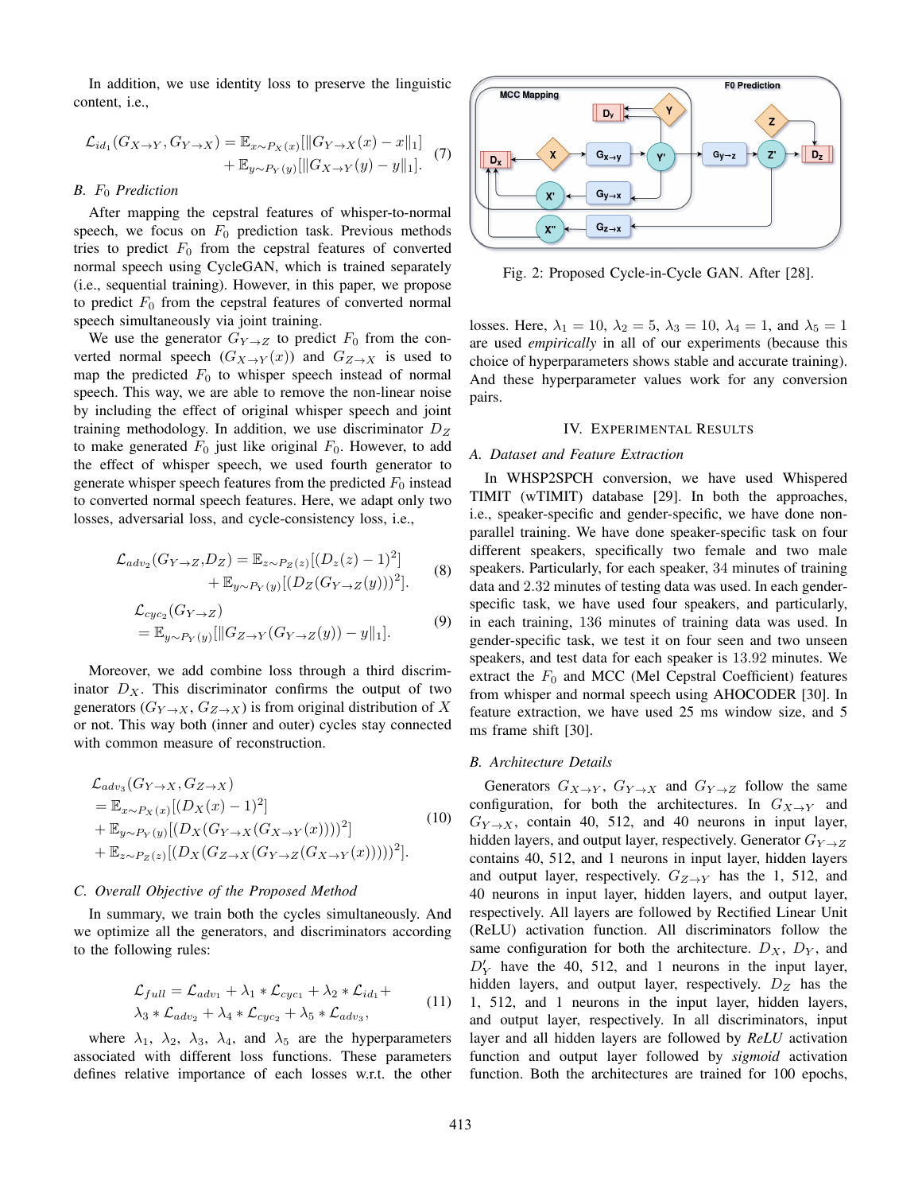In addition, we use identity loss to preserve the linguistic content, i.e.,

$$
\mathcal{L}_{id_1}(G_{X \to Y}, G_{Y \to X}) = \mathbb{E}_{x \sim P_X(x)}[\|G_{Y \to X}(x) - x\|_1] + \mathbb{E}_{y \sim P_Y(y)}[\|G_{X \to Y}(y) - y\|_1].
$$
 (7)

#### *B.* F<sup>0</sup> *Prediction*

After mapping the cepstral features of whisper-to-normal speech, we focus on  $F_0$  prediction task. Previous methods tries to predict  $F_0$  from the cepstral features of converted normal speech using CycleGAN, which is trained separately (i.e., sequential training). However, in this paper, we propose to predict  $F_0$  from the cepstral features of converted normal speech simultaneously via joint training.

We use the generator  $G_{Y\to Z}$  to predict  $F_0$  from the converted normal speech  $(G_{X\to Y}(x))$  and  $G_{Z\to X}$  is used to map the predicted  $F_0$  to whisper speech instead of normal speech. This way, we are able to remove the non-linear noise by including the effect of original whisper speech and joint training methodology. In addition, we use discriminator  $D_Z$ to make generated  $F_0$  just like original  $F_0$ . However, to add the effect of whisper speech, we used fourth generator to generate whisper speech features from the predicted  $F_0$  instead to converted normal speech features. Here, we adapt only two losses, adversarial loss, and cycle-consistency loss, i.e.,

$$
\mathcal{L}_{adv_2}(G_{Y \to Z}, D_Z) = \mathbb{E}_{z \sim P_Z(z)}[(D_z(z) - 1)^2] + \mathbb{E}_{y \sim P_Y(y)}[(D_Z(G_{Y \to Z}(y)))^2].
$$
 (8)

$$
\mathcal{L}_{cyc_2}(G_{Y\to Z})
$$
  
=  $\mathbb{E}_{y\sim P_Y(y)}[\|G_{Z\to Y}(G_{Y\to Z}(y)) - y\|_1].$  (9)

Moreover, we add combine loss through a third discriminator  $D_X$ . This discriminator confirms the output of two generators  $(G_{Y\to X}, G_{Z\to X})$  is from original distribution of X or not. This way both (inner and outer) cycles stay connected with common measure of reconstruction.

$$
\mathcal{L}_{adv_3}(G_{Y\to X}, G_{Z\to X})
$$
\n
$$
= \mathbb{E}_{x \sim P_X(x)}[(D_X(x) - 1)^2]
$$
\n
$$
+ \mathbb{E}_{y \sim P_Y(y)}[(D_X(G_{Y\to X}(G_{X\to Y}(x))))^2]
$$
\n
$$
+ \mathbb{E}_{z \sim P_Z(z)}[(D_X(G_{Z\to X}(G_{Y\to Z}(G_{X\to Y}(x))))^2].
$$
\n(10)

## *C. Overall Objective of the Proposed Method*

In summary, we train both the cycles simultaneously. And we optimize all the generators, and discriminators according to the following rules:

$$
\mathcal{L}_{full} = \mathcal{L}_{adv_1} + \lambda_1 * \mathcal{L}_{cyc_1} + \lambda_2 * \mathcal{L}_{id_1} +
$$
  

$$
\lambda_3 * \mathcal{L}_{adv_2} + \lambda_4 * \mathcal{L}_{cyc_2} + \lambda_5 * \mathcal{L}_{adv_3},
$$
 (11)

where  $\lambda_1$ ,  $\lambda_2$ ,  $\lambda_3$ ,  $\lambda_4$ , and  $\lambda_5$  are the hyperparameters associated with different loss functions. These parameters defines relative importance of each losses w.r.t. the other



Fig. 2: Proposed Cycle-in-Cycle GAN. After [28].

losses. Here,  $\lambda_1 = 10$ ,  $\lambda_2 = 5$ ,  $\lambda_3 = 10$ ,  $\lambda_4 = 1$ , and  $\lambda_5 = 1$ are used *empirically* in all of our experiments (because this choice of hyperparameters shows stable and accurate training). And these hyperparameter values work for any conversion pairs.

## IV. EXPERIMENTAL RESULTS

## *A. Dataset and Feature Extraction*

In WHSP2SPCH conversion, we have used Whispered TIMIT (wTIMIT) database [29]. In both the approaches, i.e., speaker-specific and gender-specific, we have done nonparallel training. We have done speaker-specific task on four different speakers, specifically two female and two male speakers. Particularly, for each speaker, 34 minutes of training data and 2.32 minutes of testing data was used. In each genderspecific task, we have used four speakers, and particularly, in each training, 136 minutes of training data was used. In gender-specific task, we test it on four seen and two unseen speakers, and test data for each speaker is 13.92 minutes. We extract the  $F_0$  and MCC (Mel Cepstral Coefficient) features from whisper and normal speech using AHOCODER [30]. In feature extraction, we have used 25 ms window size, and 5 ms frame shift [30].

#### *B. Architecture Details*

Generators  $G_{X\to Y}$ ,  $G_{Y\to X}$  and  $G_{Y\to Z}$  follow the same configuration, for both the architectures. In  $G_{X\rightarrow Y}$  and  $G_{Y\to X}$ , contain 40, 512, and 40 neurons in input layer, hidden layers, and output layer, respectively. Generator  $G_{Y\rightarrow Z}$ contains 40, 512, and 1 neurons in input layer, hidden layers and output layer, respectively.  $G_{Z\rightarrow Y}$  has the 1, 512, and 40 neurons in input layer, hidden layers, and output layer, respectively. All layers are followed by Rectified Linear Unit (ReLU) activation function. All discriminators follow the same configuration for both the architecture.  $D_X$ ,  $D_Y$ , and  $D'_Y$  have the 40, 512, and 1 neurons in the input layer, hidden layers, and output layer, respectively.  $D_Z$  has the 1, 512, and 1 neurons in the input layer, hidden layers, and output layer, respectively. In all discriminators, input layer and all hidden layers are followed by *ReLU* activation function and output layer followed by *sigmoid* activation function. Both the architectures are trained for 100 epochs,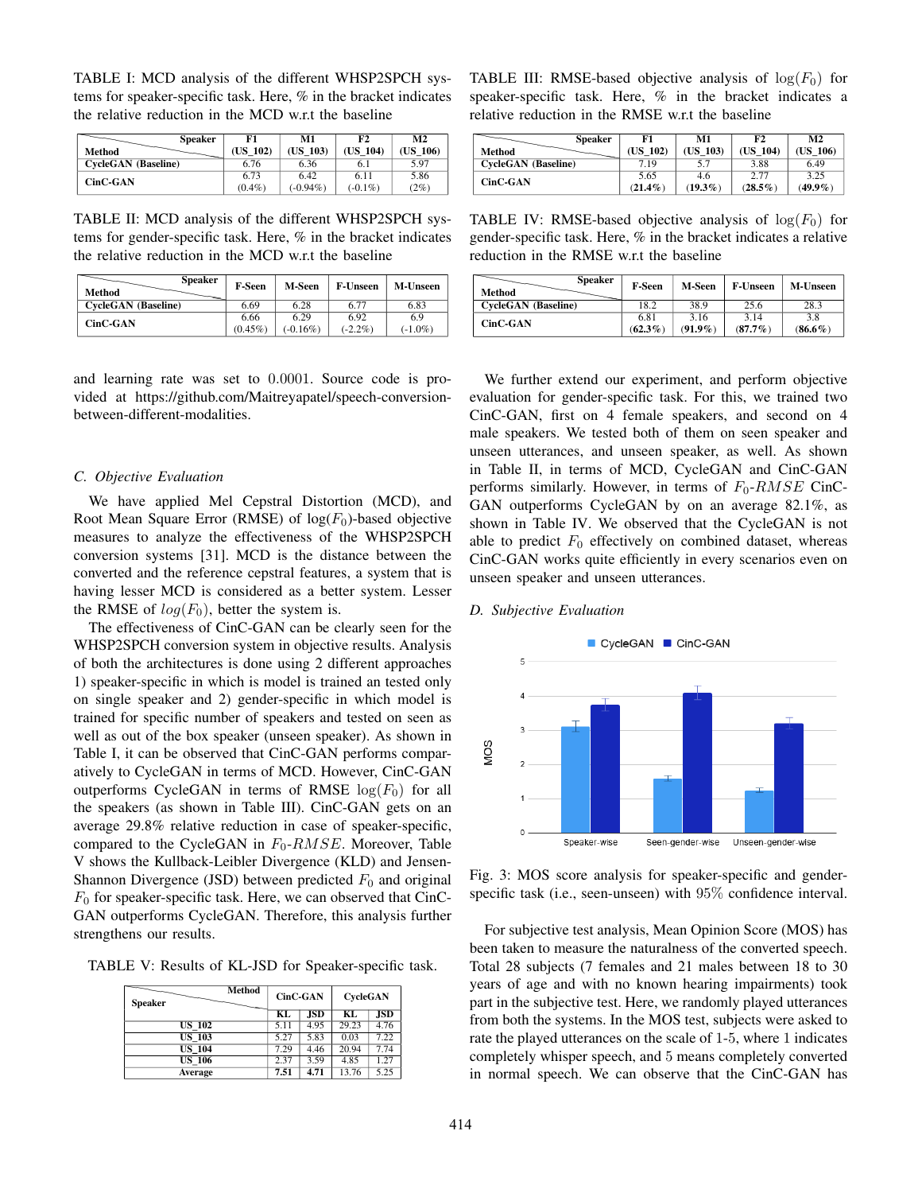TABLE I: MCD analysis of the different WHSP2SPCH systems for speaker-specific task. Here, % in the bracket indicates the relative reduction in the MCD w.r.t the baseline

| <b>Speaker</b>             | F1        | M1          | F2         | M <sub>2</sub> |
|----------------------------|-----------|-------------|------------|----------------|
| Method                     | (US 102)  | (US 103)    | (US 104)   | (US 106)       |
| <b>CycleGAN</b> (Baseline) | 6.76      | 6.36        | 6.1        | 5.97           |
| CinC-GAN                   | 6.73      | 6.42        | 6.11       | 5.86           |
|                            | $(0.4\%)$ | $(-0.94\%)$ | $(-0.1\%)$ | (2%)           |

TABLE II: MCD analysis of the different WHSP2SPCH systems for gender-specific task. Here, % in the bracket indicates the relative reduction in the MCD w.r.t the baseline

| <b>Speaker</b><br>Method   | <b>F-Seen</b>      | M-Seen              | <b>F-Unseen</b>    | <b>M-Unseen</b>   |
|----------------------------|--------------------|---------------------|--------------------|-------------------|
| <b>CycleGAN</b> (Baseline) | 6.69               | 6.28                | 6.77               | 6.83              |
| $CinC-GAN$                 | 6.66<br>$(0.45\%)$ | 6.29<br>$(-0.16\%)$ | 6.92<br>$(-2.2\%)$ | 6.9<br>$(-1.0\%)$ |

and learning rate was set to 0.0001. Source code is provided at https://github.com/Maitreyapatel/speech-conversionbetween-different-modalities.

#### *C. Objective Evaluation*

We have applied Mel Cepstral Distortion (MCD), and Root Mean Square Error (RMSE) of  $log(F_0)$ -based objective measures to analyze the effectiveness of the WHSP2SPCH conversion systems [31]. MCD is the distance between the converted and the reference cepstral features, a system that is having lesser MCD is considered as a better system. Lesser the RMSE of  $log(F_0)$ , better the system is.

The effectiveness of CinC-GAN can be clearly seen for the WHSP2SPCH conversion system in objective results. Analysis of both the architectures is done using 2 different approaches 1) speaker-specific in which is model is trained an tested only on single speaker and 2) gender-specific in which model is trained for specific number of speakers and tested on seen as well as out of the box speaker (unseen speaker). As shown in Table I, it can be observed that CinC-GAN performs comparatively to CycleGAN in terms of MCD. However, CinC-GAN outperforms CycleGAN in terms of RMSE  $log(F_0)$  for all the speakers (as shown in Table III). CinC-GAN gets on an average 29.8% relative reduction in case of speaker-specific, compared to the CycleGAN in  $F_0$ - $RMSE$ . Moreover, Table V shows the Kullback-Leibler Divergence (KLD) and Jensen-Shannon Divergence (JSD) between predicted  $F_0$  and original  $F_0$  for speaker-specific task. Here, we can observed that CinC-GAN outperforms CycleGAN. Therefore, this analysis further strengthens our results.

TABLE V: Results of KL-JSD for Speaker-specific task.

| <b>Method</b><br><b>Speaker</b> |      | CinC-GAN   |       | <b>CycleGAN</b>   |  |
|---------------------------------|------|------------|-------|-------------------|--|
|                                 | КL   | <b>JSD</b> | КL    | <b>JSD</b>        |  |
| <b>US 102</b>                   | 5.11 | 4.95       | 29.23 | 4.76              |  |
| <b>US 103</b>                   | 5.27 | 5.83       | 0.03  | 7.22              |  |
| <b>US 104</b>                   | 7.29 | 4.46       | 20.94 | 7.74              |  |
| <b>US 106</b>                   | 2.37 | 3.59       | 4.85  | $\overline{1.27}$ |  |
| Average                         | 7.51 | 4.71       | 13.76 | 5.25              |  |

TABLE III: RMSE-based objective analysis of  $log(F_0)$  for speaker-specific task. Here, % in the bracket indicates a relative reduction in the RMSE w.r.t the baseline

| <b>Speaker</b>             | F1         | M1         | F2         | M <sub>2</sub> |
|----------------------------|------------|------------|------------|----------------|
| Method                     | (US 102)   | (US 103)   | (US 104)   | (US 106)       |
| <b>CycleGAN</b> (Baseline) | 7.19       | 5.7        | 3.88       | 6.49           |
| CinC-GAN                   | 5.65       | 4.6        | 2.77       | 3.25           |
|                            | $(21.4\%)$ | $(19.3\%)$ | $(28.5\%)$ | $(49.9\%)$     |

TABLE IV: RMSE-based objective analysis of  $log(F_0)$  for gender-specific task. Here, % in the bracket indicates a relative reduction in the RMSE w.r.t the baseline

| <b>Speaker</b><br>Method | <b>F-Seen</b>      | M-Seen             | <b>F-Unseen</b>    | <b>M-Unseen</b>   |
|--------------------------|--------------------|--------------------|--------------------|-------------------|
| CycleGAN (Baseline)      | 18.2               | 38.9               | 25.6               | 28.3              |
| CinC-GAN                 | 6.81<br>$(62.3\%)$ | 3.16<br>$(91.9\%)$ | 3.14<br>$(87.7\%)$ | 3.8<br>$(86.6\%)$ |

We further extend our experiment, and perform objective evaluation for gender-specific task. For this, we trained two CinC-GAN, first on 4 female speakers, and second on 4 male speakers. We tested both of them on seen speaker and unseen utterances, and unseen speaker, as well. As shown in Table II, in terms of MCD, CycleGAN and CinC-GAN performs similarly. However, in terms of  $F_0$ - $RMSE$  CinC-GAN outperforms CycleGAN by on an average 82.1%, as shown in Table IV. We observed that the CycleGAN is not able to predict  $F_0$  effectively on combined dataset, whereas CinC-GAN works quite efficiently in every scenarios even on unseen speaker and unseen utterances.

#### *D. Subjective Evaluation*



Fig. 3: MOS score analysis for speaker-specific and genderspecific task (i.e., seen-unseen) with 95% confidence interval.

For subjective test analysis, Mean Opinion Score (MOS) has been taken to measure the naturalness of the converted speech. Total 28 subjects (7 females and 21 males between 18 to 30 years of age and with no known hearing impairments) took part in the subjective test. Here, we randomly played utterances from both the systems. In the MOS test, subjects were asked to rate the played utterances on the scale of 1-5, where 1 indicates completely whisper speech, and 5 means completely converted in normal speech. We can observe that the CinC-GAN has